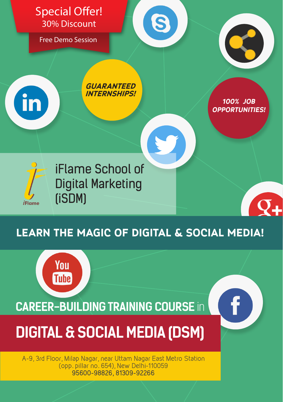

# **learn the magic of digital & Social media!**

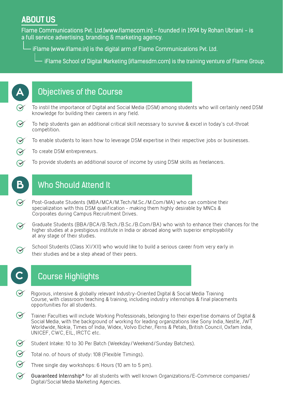## **ABOUT US**

Flame Communications Pvt. Ltd.(www.flamecom.in) - founded in 1994 by Rohan Ubriani - is a full service advertising, branding & marketing agency.

iFlame (www.iflame.in) is the digital arm of Flame Communications Pvt. Ltd.

 $\overline{-}$  iFlame School of Digital Marketing (iflamesdm.com) is the training venture of Flame Group.



- To instil the importance of Digital and Social Media (DSM) among students who will certainly need DSM knowledge for building their careers in any field.
- $\Theta$ To help students gain an additional critical skill necessary to survive & excel in today's cut-throat competition.
- $\bm{\curvearrowright}$ To enable students to learn how to leverage DSM expertise in their respective jobs or businesses.
- To create DSM entrepreneurs.  $\bm{\heartsuit}$

**B**

 $\bm{\Theta}$ 

 $\Omega$ 

To provide students an additional source of income by using DSM skills as freelancers.

# Who Should Attend It

- $\bm{\curvearrowright}$ Post-Graduate Students (MBA/MCA/M.Tech/M.Sc./M.Com/MA) who can combine their specialization with this DSM qualification - making them highly desirable by MNCs & Corporates during Campus Recruitment Drives.
- Graduate Students (BBA/BCA/B.Tech./B.Sc./B.Com/BA) who wish to enhance their chances for the  $\odot$ higher studies at a prestigious institute in India or abroad along with superior employability at any stage of their studies.
	- School Students (Class XI/XII) who would like to build a serious career from very early in their studies and be a step ahead of their peers.



## **C** Course Highlights

- Rigorous, intensive & globally relevant Industry-Oriented Digital & Social Media Training Course, with classroom teaching & training, including industry internships & final placements opportunities for all students.
- $\bm{\curvearrowright}$ Trainer Faculties will include Working Professionals, belonging to their expertise domains of Digital & Social Media, with the background of working for leading organizations like Sony India, Nestle, JWT Worldwide, Nokia, Times of India, Widex, Volvo Eicher, Ferns & Petals, British Council, Oxfam India, UNICEF, CWC, EIL, IRCTC etc.
- $\bm{\varnothing}$ Student Intake: 10 to 30 Per Batch (Weekday/Weekend/Sunday Batches).
- $\odot$ Total no. of hours of study: 108 (Flexible Timings).
- $\bm{\varnothing}$ Three single day workshops: 6 Hours (10 am to 5 pm).
- $\bm{\varnothing}$ **Guaranteed Internship**\* for all students with well known Organizations/E-Commerce companies/ Digital/Social Media Marketing Agencies.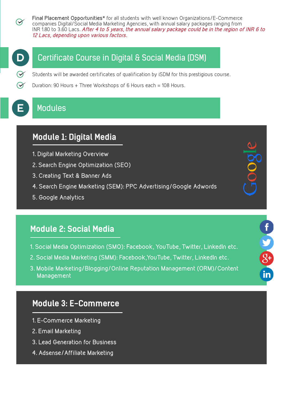$\bm{\heartsuit}$ 

**Final Placement Opportunities**\* for all students with well known Organizations/E-Commerce companies Digital/Social Media Marketing Agencies, with annual salary packages ranging from INR 1.80 to 3.60 Lacs. **After 4 to 5 years, the annual salary package could be in the region of INR 6 to 12 Lacs, depending upon various factors.**



 $\bm{\heartsuit}$ 

### Certificate Course in Digital & Social Media (DSM)

Students will be awarded certificates of qualification by iSDM for this prestigious course.

Duration: 90 Hours + Three Workshops of 6 Hours each = 108 Hours.



#### **Modules**

# **Module 1: Digital Media**

- **1. Digital Marketing Overview**
- **2. Search Engine Optimization (SEO)**
- **3. Creating Text & Banner Ads**
- **4. Search Engine Marketing (SEM): PPC Advertising/Google Adwords**
- **5. Google Analytics**

### **Module 2: Social Media**

**1. Social Media Optimization (SMO): Facebook, YouTube, Twitter, LinkedIn etc.**

 $\frac{1}{2}$ 

- **2. Social Media Marketing (SMM): Facebook,YouTube, Twitter, LinkedIn etc.**
- **3. Mobile Marketing/Blogging/Online Reputation Management (ORM)/Content Management**

#### **Module 3: E-Commerce**

- **1. E-Commerce Marketing**
- **2. Email Marketing**
- **3. Lead Generation for Business**
- **4. Adsense/Affiliate Marketing**